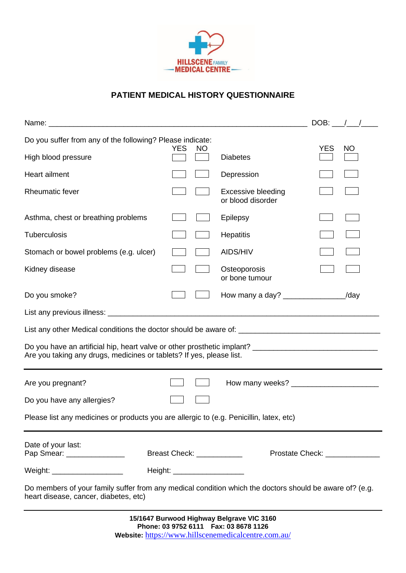

## **PATIENT MEDICAL HISTORY QUESTIONNAIRE**

|                                                                                                                                                                                    |                            |                                                |                                 | $DOB:$ $\frac{1}{2}$ $\frac{1}{2}$ |
|------------------------------------------------------------------------------------------------------------------------------------------------------------------------------------|----------------------------|------------------------------------------------|---------------------------------|------------------------------------|
| Do you suffer from any of the following? Please indicate:                                                                                                                          |                            |                                                |                                 |                                    |
| High blood pressure                                                                                                                                                                | <b>YES</b><br>NO           | <b>Diabetes</b>                                | <b>YES</b>                      | <b>NO</b>                          |
| <b>Heart ailment</b>                                                                                                                                                               |                            | Depression                                     |                                 |                                    |
| <b>Rheumatic fever</b>                                                                                                                                                             |                            | <b>Excessive bleeding</b><br>or blood disorder |                                 |                                    |
| Asthma, chest or breathing problems                                                                                                                                                |                            | Epilepsy                                       |                                 |                                    |
| <b>Tuberculosis</b>                                                                                                                                                                |                            | Hepatitis                                      |                                 |                                    |
| Stomach or bowel problems (e.g. ulcer)                                                                                                                                             |                            | AIDS/HIV                                       |                                 |                                    |
| Kidney disease                                                                                                                                                                     |                            | Osteoporosis<br>or bone tumour                 |                                 |                                    |
| Do you smoke?                                                                                                                                                                      |                            | How many a day? ________________/day           |                                 |                                    |
|                                                                                                                                                                                    |                            |                                                |                                 |                                    |
|                                                                                                                                                                                    |                            |                                                |                                 |                                    |
| Do you have an artificial hip, heart valve or other prosthetic implant? __________________________________<br>Are you taking any drugs, medicines or tablets? If yes, please list. |                            |                                                |                                 |                                    |
| Are you pregnant?                                                                                                                                                                  |                            |                                                |                                 |                                    |
| Do you have any allergies?                                                                                                                                                         |                            |                                                |                                 |                                    |
| Please list any medicines or products you are allergic to (e.g. Penicillin, latex, etc)                                                                                            |                            |                                                |                                 |                                    |
| Date of your last:<br>Pap Smear: ________________                                                                                                                                  | Breast Check: ____________ |                                                | Prostate Check: _______________ |                                    |
| Weight: _____________________                                                                                                                                                      |                            |                                                |                                 |                                    |
| Do members of your family suffer from any medical condition which the doctors should be aware of? (e.g.<br>heart disease, cancer, diabetes, etc)                                   |                            |                                                |                                 |                                    |